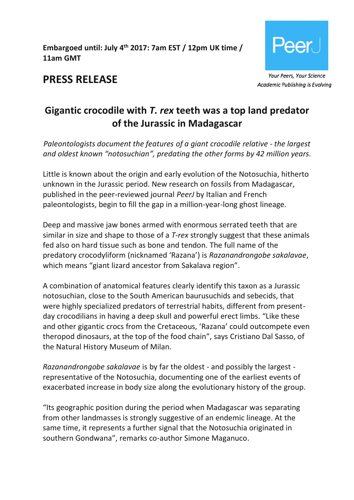**Embargoed until: July 4th 2017: 7am EST / 12pm UK time / 11am GMT**



**PRESS RELEASE**

# **Gigantic crocodile with** *T. rex* **teeth was a top land predator of the Jurassic in Madagascar**

*Paleontologists document the features of a giant crocodile relative - the largest and oldest known "notosuchian", predating the other forms by 42 million years.*

Little is known about the origin and early evolution of the Notosuchia, hitherto unknown in the Jurassic period. New research on fossils from Madagascar, published in the peer-reviewed journal *PeerJ* by Italian and French paleontologists, begin to fill the gap in a million-year-long ghost lineage.

Deep and massive jaw bones armed with enormous serrated teeth that are similar in size and shape to those of a *T-rex* strongly suggest that these animals fed also on hard tissue such as bone and tendon. The full name of the predatory crocodyliform (nicknamed 'Razana') is *Razanandrongobe sakalavae*, which means "giant lizard ancestor from Sakalava region".

A combination of anatomical features clearly identify this taxon as a Jurassic notosuchian, close to the South American baurusuchids and sebecids, that were highly specialized predators of terrestrial habits, different from presentday crocodilians in having a deep skull and powerful erect limbs. "Like these and other gigantic crocs from the Cretaceous, 'Razana' could outcompete even theropod dinosaurs, at the top of the food chain", says Cristiano Dal Sasso, of the Natural History Museum of Milan.

*Razanandrongobe sakalavae* is by far the oldest - and possibly the largest representative of the Notosuchia, documenting one of the earliest events of exacerbated increase in body size along the evolutionary history of the group.

"Its geographic position during the period when Madagascar was separating from other landmasses is strongly suggestive of an endemic lineage. At the same time, it represents a further signal that the Notosuchia originated in southern Gondwana", remarks co-author Simone Maganuco.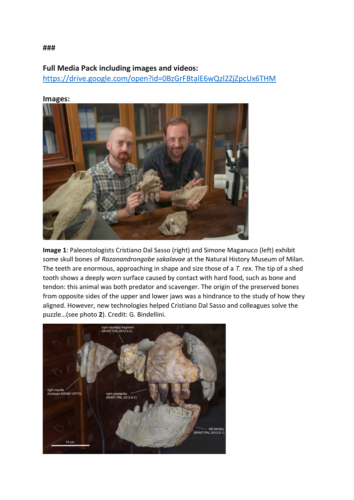## **Full Media Pack including images and videos:**

<https://drive.google.com/open?id=0BzGrFBtalE6wQzl2ZjZpcUx6THM>

#### **Images:**



**Image 1**: Paleontologists Cristiano Dal Sasso (right) and Simone Maganuco (left) exhibit some skull bones of *Razanandrongobe sakalavae* at the Natural History Museum of Milan. The teeth are enormous, approaching in shape and size those of a *T. rex*. The tip of a shed tooth shows a deeply worn surface caused by contact with hard food, such as bone and tendon: this animal was both predator and scavenger. The origin of the preserved bones from opposite sides of the upper and lower jaws was a hindrance to the study of how they aligned. However, new technologies helped Cristiano Dal Sasso and colleagues solve the puzzle…(see photo **2**). Credit: G. Bindellini.



#### **###**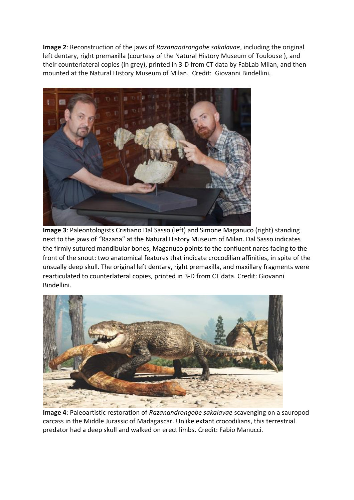**Image 2**: Reconstruction of the jaws of *Razanandrongobe sakalavae*, including the original left dentary, right premaxilla (courtesy of the Natural History Museum of Toulouse ), and their counterlateral copies (in grey), printed in 3-D from CT data by FabLab Milan, and then mounted at the Natural History Museum of Milan. Credit: Giovanni Bindellini.



**Image 3**: Paleontologists Cristiano Dal Sasso (left) and Simone Maganuco (right) standing next to the jaws of *"*Razana" at the Natural History Museum of Milan. Dal Sasso indicates the firmly sutured mandibular bones, Maganuco points to the confluent nares facing to the front of the snout: two anatomical features that indicate crocodilian affinities, in spite of the unsually deep skull. The original left dentary, right premaxilla, and maxillary fragments were rearticulated to counterlateral copies, printed in 3-D from CT data. Credit: Giovanni Bindellini.



**Image 4**: Paleoartistic restoration of *Razanandrongobe sakalavae* scavenging on a sauropod carcass in the Middle Jurassic of Madagascar. Unlike extant crocodilians, this terrestrial predator had a deep skull and walked on erect limbs. Credit: Fabio Manucci.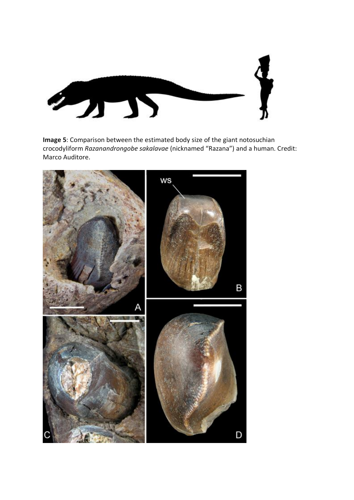

**Image 5**: Comparison between the estimated body size of the giant notosuchian crocodyliform *Razanandrongobe sakalavae* (nicknamed "Razana") and a human. Credit: Marco Auditore.

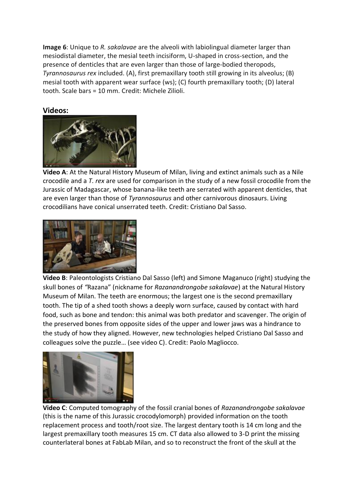**Image 6**: Unique to *R. sakalavae* are the alveoli with labiolingual diameter larger than mesiodistal diameter, the mesial teeth incisiform, U-shaped in cross-section, and the presence of denticles that are even larger than those of large-bodied theropods, *Tyrannosaurus rex* included. (A), first premaxillary tooth still growing in its alveolus; (B) mesial tooth with apparent wear surface (ws); (C) fourth premaxillary tooth; (D) lateral tooth. Scale bars = 10 mm. Credit: Michele Zilioli.

#### **Videos:**



**Video A**: At the Natural History Museum of Milan, living and extinct animals such as a Nile crocodile and a *T. rex* are used for comparison in the study of a new fossil crocodile from the Jurassic of Madagascar, whose banana-like teeth are serrated with apparent denticles, that are even larger than those of *Tyrannosaurus* and other carnivorous dinosaurs. Living crocodilians have conical unserrated teeth. Credit: Cristiano Dal Sasso.



**Video B**: Paleontologists Cristiano Dal Sasso (left) and Simone Maganuco (right) studying the skull bones of *"*Razana" (nickname for *Razanandrongobe sakalavae*) at the Natural History Museum of Milan. The teeth are enormous; the largest one is the second premaxillary tooth. The tip of a shed tooth shows a deeply worn surface, caused by contact with hard food, such as bone and tendon: this animal was both predator and scavenger. The origin of the preserved bones from opposite sides of the upper and lower jaws was a hindrance to the study of how they aligned. However, new technologies helped Cristiano Dal Sasso and colleagues solve the puzzle… (see video C). Credit: Paolo Magliocco.



**Video C**: Computed tomography of the fossil cranial bones of *Razanandrongobe sakalavae*  (this is the name of this Jurassic crocodylomorph) provided information on the tooth replacement process and tooth/root size. The largest dentary tooth is 14 cm long and the largest premaxillary tooth measures 15 cm. CT data also allowed to 3-D print the missing counterlateral bones at FabLab Milan, and so to reconstruct the front of the skull at the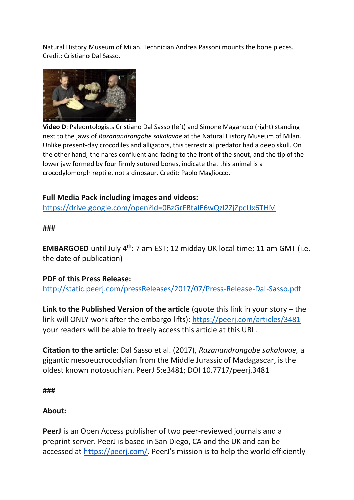Natural History Museum of Milan. Technician Andrea Passoni mounts the bone pieces. Credit: Cristiano Dal Sasso.



**Video D**: Paleontologists Cristiano Dal Sasso (left) and Simone Maganuco (right) standing next to the jaws of *Razanandrongobe sakalavae* at the Natural History Museum of Milan. Unlike present-day crocodiles and alligators, this terrestrial predator had a deep skull. On the other hand, the nares confluent and facing to the front of the snout, and the tip of the lower jaw formed by four firmly sutured bones, indicate that this animal is a crocodylomorph reptile, not a dinosaur. Credit: Paolo Magliocco.

## **Full Media Pack including images and videos:**

<https://drive.google.com/open?id=0BzGrFBtalE6wQzl2ZjZpcUx6THM>

**###**

**EMBARGOED** until July 4<sup>th</sup>: 7 am EST; 12 midday UK local time; 11 am GMT (i.e. the date of publication)

# **PDF of this Press Release:**

<http://static.peerj.com/pressReleases/2017/07/Press-Release-Dal-Sasso.pdf>

**Link to the Published Version of the article** (quote this link in your story – the link will ONLY work after the embargo lifts): <https://peerj.com/articles/3481> your readers will be able to freely access this article at this URL.

**Citation to the article**: Dal Sasso et al. (2017), *Razanandrongobe sakalavae,* a gigantic mesoeucrocodylian from the Middle Jurassic of Madagascar, is the oldest known notosuchian. PeerJ 5:e3481; DOI 10.7717/peerj.3481

**###**

# **About:**

**PeerJ** is an Open Access publisher of two peer-reviewed journals and a preprint server. PeerJ is based in San Diego, CA and the UK and can be accessed at <https://peerj.com/>. PeerJ's mission is to help the world efficiently